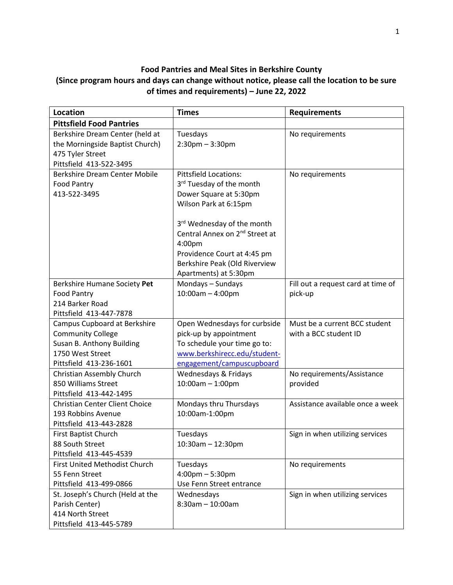## **Food Pantries and Meal Sites in Berkshire County (Since program hours and days can change without notice, please call the location to be sure of times and requirements) – June 22, 2022**

| <b>Location</b>                                                                                                                      | <b>Times</b>                                                                                                                                                                                                                                                                              | <b>Requirements</b>                                    |
|--------------------------------------------------------------------------------------------------------------------------------------|-------------------------------------------------------------------------------------------------------------------------------------------------------------------------------------------------------------------------------------------------------------------------------------------|--------------------------------------------------------|
| <b>Pittsfield Food Pantries</b>                                                                                                      |                                                                                                                                                                                                                                                                                           |                                                        |
| Berkshire Dream Center (held at<br>the Morningside Baptist Church)<br>475 Tyler Street<br>Pittsfield 413-522-3495                    | Tuesdays<br>$2:30$ pm $-3:30$ pm                                                                                                                                                                                                                                                          | No requirements                                        |
| <b>Berkshire Dream Center Mobile</b><br><b>Food Pantry</b><br>413-522-3495                                                           | <b>Pittsfield Locations:</b><br>3 <sup>rd</sup> Tuesday of the month<br>Dower Square at 5:30pm<br>Wilson Park at 6:15pm<br>3 <sup>rd</sup> Wednesday of the month<br>Central Annex on 2 <sup>nd</sup> Street at<br>4:00pm<br>Providence Court at 4:45 pm<br>Berkshire Peak (Old Riverview | No requirements                                        |
| Berkshire Humane Society Pet<br><b>Food Pantry</b><br>214 Barker Road<br>Pittsfield 413-447-7878                                     | Apartments) at 5:30pm<br>Mondays - Sundays<br>$10:00am - 4:00pm$                                                                                                                                                                                                                          | Fill out a request card at time of<br>pick-up          |
| Campus Cupboard at Berkshire<br><b>Community College</b><br>Susan B. Anthony Building<br>1750 West Street<br>Pittsfield 413-236-1601 | Open Wednesdays for curbside<br>pick-up by appointment<br>To schedule your time go to:<br>www.berkshirecc.edu/student-<br>engagement/campuscupboard                                                                                                                                       | Must be a current BCC student<br>with a BCC student ID |
| Christian Assembly Church<br>850 Williams Street<br>Pittsfield 413-442-1495                                                          | Wednesdays & Fridays<br>10:00am - 1:00pm                                                                                                                                                                                                                                                  | No requirements/Assistance<br>provided                 |
| <b>Christian Center Client Choice</b><br>193 Robbins Avenue<br>Pittsfield 413-443-2828                                               | Mondays thru Thursdays<br>10:00am-1:00pm                                                                                                                                                                                                                                                  | Assistance available once a week                       |
| First Baptist Church<br>88 South Street<br>Pittsfield 413-445-4539                                                                   | Tuesdays<br>$10:30$ am - 12:30pm                                                                                                                                                                                                                                                          | Sign in when utilizing services                        |
| First United Methodist Church<br>55 Fenn Street<br>Pittsfield 413-499-0866                                                           | Tuesdays<br>$4:00 \text{pm} - 5:30 \text{pm}$<br>Use Fenn Street entrance                                                                                                                                                                                                                 | No requirements                                        |
| St. Joseph's Church (Held at the<br>Parish Center)<br>414 North Street<br>Pittsfield 413-445-5789                                    | Wednesdays<br>$8:30am - 10:00am$                                                                                                                                                                                                                                                          | Sign in when utilizing services                        |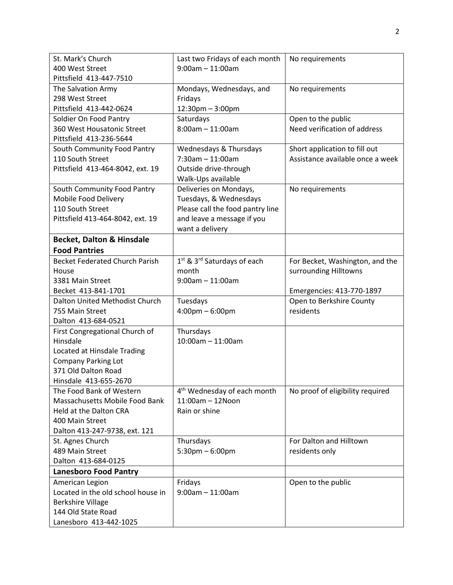| St. Mark's Church                                          | Last two Fridays of each month                                 | No requirements                                    |
|------------------------------------------------------------|----------------------------------------------------------------|----------------------------------------------------|
| 400 West Street                                            | $9:00am - 11:00am$                                             |                                                    |
| Pittsfield 413-447-7510                                    |                                                                |                                                    |
| The Salvation Army                                         | Mondays, Wednesdays, and                                       | No requirements                                    |
| 298 West Street                                            | Fridays                                                        |                                                    |
| Pittsfield 413-442-0624                                    | 12:30pm - 3:00pm                                               |                                                    |
| Soldier On Food Pantry<br>360 West Housatonic Street       | Saturdays<br>$8:00am - 11:00am$                                | Open to the public<br>Need verification of address |
| Pittsfield 413-236-5644                                    |                                                                |                                                    |
| South Community Food Pantry                                | Wednesdays & Thursdays                                         | Short application to fill out                      |
| 110 South Street                                           | $7:30$ am $-11:00$ am                                          | Assistance available once a week                   |
| Pittsfield 413-464-8042, ext. 19                           | Outside drive-through                                          |                                                    |
|                                                            | Walk-Ups available                                             |                                                    |
| South Community Food Pantry                                | Deliveries on Mondays,                                         | No requirements                                    |
| Mobile Food Delivery                                       | Tuesdays, & Wednesdays                                         |                                                    |
| 110 South Street                                           | Please call the food pantry line                               |                                                    |
| Pittsfield 413-464-8042, ext. 19                           | and leave a message if you                                     |                                                    |
|                                                            | want a delivery                                                |                                                    |
| <b>Becket, Dalton &amp; Hinsdale</b>                       |                                                                |                                                    |
| <b>Food Pantries</b>                                       |                                                                |                                                    |
| <b>Becket Federated Church Parish</b>                      | 1 <sup>st</sup> & 3 <sup>rd</sup> Saturdays of each            | For Becket, Washington, and the                    |
| House                                                      | month                                                          | surrounding Hilltowns                              |
| 3381 Main Street                                           | $9:00$ am $-11:00$ am                                          |                                                    |
| Becket 413-841-1701                                        |                                                                | Emergencies: 413-770-1897                          |
| Dalton United Methodist Church                             | Tuesdays                                                       | Open to Berkshire County                           |
| 755 Main Street                                            | $4:00 \text{pm} - 6:00 \text{pm}$                              | residents                                          |
| Dalton 413-684-0521                                        |                                                                |                                                    |
| First Congregational Church of                             | Thursdays                                                      |                                                    |
| Hinsdale                                                   | 10:00am - 11:00am                                              |                                                    |
| Located at Hinsdale Trading                                |                                                                |                                                    |
| <b>Company Parking Lot</b>                                 |                                                                |                                                    |
| 371 Old Dalton Road                                        |                                                                |                                                    |
| Hinsdale 413-655-2670                                      |                                                                |                                                    |
| The Food Bank of Western<br>Massachusetts Mobile Food Bank | 4 <sup>th</sup> Wednesday of each month<br>$11:00$ am - 12Noon | No proof of eligibility required                   |
| Held at the Dalton CRA                                     | Rain or shine                                                  |                                                    |
| 400 Main Street                                            |                                                                |                                                    |
| Dalton 413-247-9738, ext. 121                              |                                                                |                                                    |
| St. Agnes Church                                           | Thursdays                                                      | For Dalton and Hilltown                            |
| 489 Main Street                                            | $5:30$ pm $-6:00$ pm                                           | residents only                                     |
| Dalton 413-684-0125                                        |                                                                |                                                    |
| <b>Lanesboro Food Pantry</b>                               |                                                                |                                                    |
| American Legion                                            | Fridays                                                        | Open to the public                                 |
| Located in the old school house in                         | $9:00$ am $-11:00$ am                                          |                                                    |
| <b>Berkshire Village</b>                                   |                                                                |                                                    |
| 144 Old State Road                                         |                                                                |                                                    |
| Lanesboro 413-442-1025                                     |                                                                |                                                    |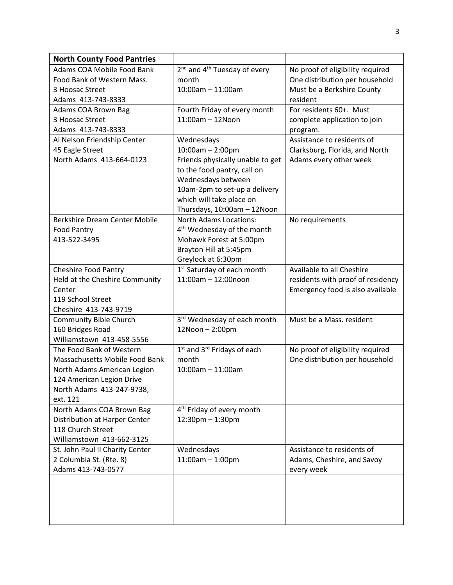| <b>North County Food Pantries</b>                  |                                                      |                                   |
|----------------------------------------------------|------------------------------------------------------|-----------------------------------|
| Adams COA Mobile Food Bank                         | 2 <sup>nd</sup> and 4 <sup>th</sup> Tuesday of every | No proof of eligibility required  |
| Food Bank of Western Mass.                         | month                                                | One distribution per household    |
| 3 Hoosac Street                                    | $10:00$ am - 11:00am                                 | Must be a Berkshire County        |
| Adams 413-743-8333                                 |                                                      | resident                          |
| Adams COA Brown Bag                                | Fourth Friday of every month                         | For residents 60+. Must           |
| 3 Hoosac Street                                    | $11:00am - 12Noon$                                   | complete application to join      |
| Adams 413-743-8333                                 |                                                      | program.                          |
| Al Nelson Friendship Center                        | Wednesdays                                           | Assistance to residents of        |
| 45 Eagle Street                                    | $10:00am - 2:00pm$                                   | Clarksburg, Florida, and North    |
| North Adams 413-664-0123                           | Friends physically unable to get                     | Adams every other week            |
|                                                    | to the food pantry, call on                          |                                   |
|                                                    | Wednesdays between                                   |                                   |
|                                                    | 10am-2pm to set-up a delivery                        |                                   |
|                                                    | which will take place on                             |                                   |
|                                                    | Thursdays, 10:00am - 12Noon                          |                                   |
| Berkshire Dream Center Mobile                      | <b>North Adams Locations:</b>                        | No requirements                   |
| <b>Food Pantry</b><br>413-522-3495                 | 4 <sup>th</sup> Wednesday of the month               |                                   |
|                                                    | Mohawk Forest at 5:00pm<br>Brayton Hill at 5:45pm    |                                   |
|                                                    | Greylock at 6:30pm                                   |                                   |
| <b>Cheshire Food Pantry</b>                        | 1 <sup>st</sup> Saturday of each month               | Available to all Cheshire         |
| Held at the Cheshire Community                     | 11:00am - 12:00noon                                  | residents with proof of residency |
| Center                                             |                                                      | Emergency food is also available  |
| 119 School Street                                  |                                                      |                                   |
| Cheshire 413-743-9719                              |                                                      |                                   |
| <b>Community Bible Church</b>                      | 3rd Wednesday of each month                          | Must be a Mass. resident          |
| 160 Bridges Road                                   | 12Noon - 2:00pm                                      |                                   |
| Williamstown 413-458-5556                          |                                                      |                                   |
| The Food Bank of Western                           | 1 <sup>st</sup> and 3 <sup>rd</sup> Fridays of each  | No proof of eligibility required  |
| Massachusetts Mobile Food Bank                     | month                                                | One distribution per household    |
| North Adams American Legion                        | $10:00$ am - 11:00am                                 |                                   |
| 124 American Legion Drive                          |                                                      |                                   |
| North Adams 413-247-9738,                          |                                                      |                                   |
| ext. 121                                           |                                                      |                                   |
| North Adams COA Brown Bag                          | 4 <sup>th</sup> Friday of every month                |                                   |
| Distribution at Harper Center<br>118 Church Street | $12:30$ pm $-1:30$ pm                                |                                   |
| Williamstown 413-662-3125                          |                                                      |                                   |
| St. John Paul II Charity Center                    | Wednesdays                                           | Assistance to residents of        |
| 2 Columbia St. (Rte. 8)                            | $11:00am - 1:00pm$                                   | Adams, Cheshire, and Savoy        |
| Adams 413-743-0577                                 |                                                      | every week                        |
|                                                    |                                                      |                                   |
|                                                    |                                                      |                                   |
|                                                    |                                                      |                                   |
|                                                    |                                                      |                                   |
|                                                    |                                                      |                                   |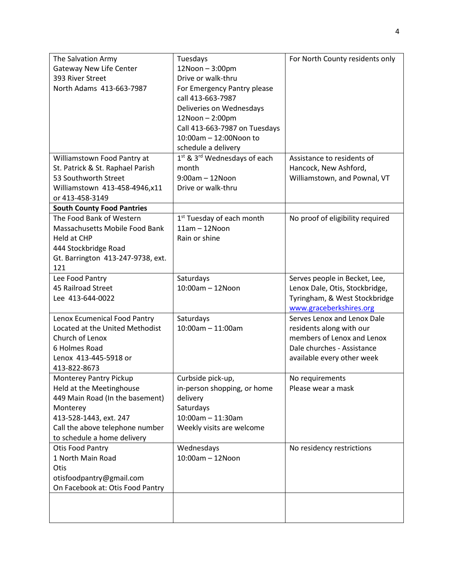| The Salvation Army                | Tuesdays                                             | For North County residents only  |
|-----------------------------------|------------------------------------------------------|----------------------------------|
| <b>Gateway New Life Center</b>    | 12Noon-3:00pm                                        |                                  |
| 393 River Street                  | Drive or walk-thru                                   |                                  |
| North Adams 413-663-7987          | For Emergency Pantry please                          |                                  |
|                                   | call 413-663-7987                                    |                                  |
|                                   | Deliveries on Wednesdays                             |                                  |
|                                   | 12Noon - 2:00pm                                      |                                  |
|                                   | Call 413-663-7987 on Tuesdays                        |                                  |
|                                   | 10:00am - 12:00Noon to                               |                                  |
|                                   | schedule a delivery                                  |                                  |
| Williamstown Food Pantry at       | 1 <sup>st</sup> & 3 <sup>rd</sup> Wednesdays of each | Assistance to residents of       |
| St. Patrick & St. Raphael Parish  | month                                                | Hancock, New Ashford,            |
| 53 Southworth Street              | $9:00am - 12Noon$                                    | Williamstown, and Pownal, VT     |
| Williamstown 413-458-4946,x11     | Drive or walk-thru                                   |                                  |
| or 413-458-3149                   |                                                      |                                  |
| <b>South County Food Pantries</b> |                                                      |                                  |
| The Food Bank of Western          | 1 <sup>st</sup> Tuesday of each month                | No proof of eligibility required |
| Massachusetts Mobile Food Bank    | $11am - 12Noon$                                      |                                  |
| Held at CHP                       | Rain or shine                                        |                                  |
| 444 Stockbridge Road              |                                                      |                                  |
| Gt. Barrington 413-247-9738, ext. |                                                      |                                  |
| 121                               |                                                      |                                  |
| Lee Food Pantry                   | Saturdays                                            | Serves people in Becket, Lee,    |
| 45 Railroad Street                | $10:00$ am - 12Noon                                  | Lenox Dale, Otis, Stockbridge,   |
| Lee 413-644-0022                  |                                                      | Tyringham, & West Stockbridge    |
|                                   |                                                      | www.graceberkshires.org          |
| Lenox Ecumenical Food Pantry      | Saturdays                                            | Serves Lenox and Lenox Dale      |
| Located at the United Methodist   | $10:00$ am - 11:00am                                 | residents along with our         |
| Church of Lenox                   |                                                      | members of Lenox and Lenox       |
| 6 Holmes Road                     |                                                      | Dale churches - Assistance       |
| Lenox 413-445-5918 or             |                                                      | available every other week       |
| 413-822-8673                      |                                                      |                                  |
| Monterey Pantry Pickup            | Curbside pick-up,                                    | No requirements                  |
| Held at the Meetinghouse          | in-person shopping, or home                          | Please wear a mask               |
| 449 Main Road (In the basement)   | delivery                                             |                                  |
| Monterey                          | Saturdays                                            |                                  |
| 413-528-1443, ext. 247            | $10:00$ am - 11:30am                                 |                                  |
| Call the above telephone number   | Weekly visits are welcome                            |                                  |
| to schedule a home delivery       |                                                      |                                  |
| Otis Food Pantry                  | Wednesdays                                           | No residency restrictions        |
| 1 North Main Road                 | $10:00$ am $-12$ Noon                                |                                  |
| Otis                              |                                                      |                                  |
| otisfoodpantry@gmail.com          |                                                      |                                  |
| On Facebook at: Otis Food Pantry  |                                                      |                                  |
|                                   |                                                      |                                  |
|                                   |                                                      |                                  |
|                                   |                                                      |                                  |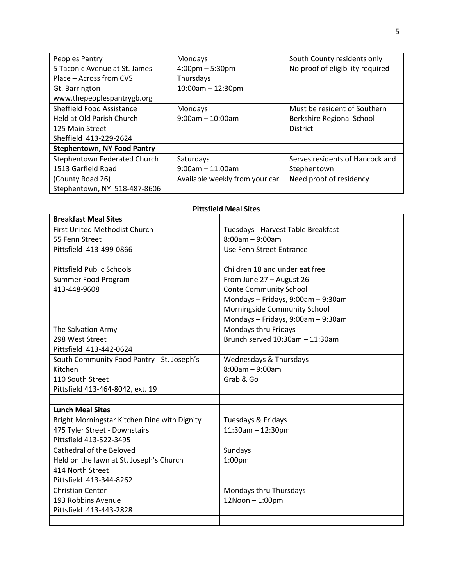| Peoples Pantry                     | Mondays                           | South County residents only      |
|------------------------------------|-----------------------------------|----------------------------------|
| 5 Taconic Avenue at St. James      | $4:00 \text{pm} - 5:30 \text{pm}$ | No proof of eligibility required |
| Place – Across from CVS            | Thursdays                         |                                  |
| Gt. Barrington                     | $10:00$ am $- 12:30$ pm           |                                  |
| www.thepeoplespantrygb.org         |                                   |                                  |
| Sheffield Food Assistance          | Mondays                           | Must be resident of Southern     |
| Held at Old Parish Church          | $9:00$ am - 10:00am               | Berkshire Regional School        |
| 125 Main Street                    |                                   | <b>District</b>                  |
| Sheffield 413-229-2624             |                                   |                                  |
| <b>Stephentown, NY Food Pantry</b> |                                   |                                  |
| Stephentown Federated Church       | Saturdays                         | Serves residents of Hancock and  |
| 1513 Garfield Road                 | $9:00$ am $-11:00$ am             | Stephentown                      |
| (County Road 26)                   | Available weekly from your car    | Need proof of residency          |
| Stephentown, NY 518-487-8606       |                                   |                                  |

| <b>Breakfast Meal Sites</b>                  |                                      |
|----------------------------------------------|--------------------------------------|
| <b>First United Methodist Church</b>         | Tuesdays - Harvest Table Breakfast   |
| 55 Fenn Street                               | $8:00am - 9:00am$                    |
| Pittsfield 413-499-0866                      | Use Fenn Street Entrance             |
|                                              |                                      |
| <b>Pittsfield Public Schools</b>             | Children 18 and under eat free       |
| Summer Food Program                          | From June 27 - August 26             |
| 413-448-9608                                 | <b>Conte Community School</b>        |
|                                              | Mondays - Fridays, 9:00am - 9:30am   |
|                                              | Morningside Community School         |
|                                              | Mondays - Fridays, 9:00am - 9:30am   |
| The Salvation Army                           | Mondays thru Fridays                 |
| 298 West Street                              | Brunch served $10:30$ am $-11:30$ am |
| Pittsfield 413-442-0624                      |                                      |
| South Community Food Pantry - St. Joseph's   | Wednesdays & Thursdays               |
| Kitchen                                      | $8:00am - 9:00am$                    |
| 110 South Street                             | Grab & Go                            |
| Pittsfield 413-464-8042, ext. 19             |                                      |
|                                              |                                      |
| <b>Lunch Meal Sites</b>                      |                                      |
| Bright Morningstar Kitchen Dine with Dignity | Tuesdays & Fridays                   |
| 475 Tyler Street - Downstairs                | $11:30$ am - $12:30$ pm              |
| Pittsfield 413-522-3495                      |                                      |
| Cathedral of the Beloved                     | Sundays                              |
| Held on the lawn at St. Joseph's Church      | 1:00pm                               |
| 414 North Street                             |                                      |
| Pittsfield 413-344-8262                      |                                      |
| Christian Center                             | Mondays thru Thursdays               |
| 193 Robbins Avenue                           | 12Noon-1:00pm                        |
| Pittsfield 413-443-2828                      |                                      |
|                                              |                                      |

## **Pittsfield Meal Sites**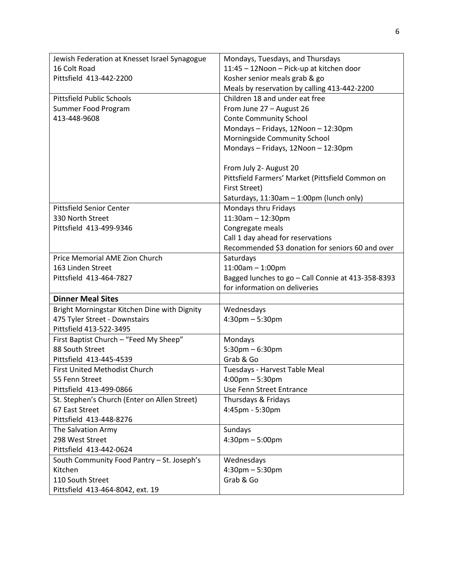| Jewish Federation at Knesset Israel Synagogue | Mondays, Tuesdays, and Thursdays                   |
|-----------------------------------------------|----------------------------------------------------|
| 16 Colt Road                                  | 11:45 - 12 Noon - Pick-up at kitchen door          |
| Pittsfield 413-442-2200                       | Kosher senior meals grab & go                      |
|                                               | Meals by reservation by calling 413-442-2200       |
| <b>Pittsfield Public Schools</b>              | Children 18 and under eat free                     |
| Summer Food Program                           | From June 27 - August 26                           |
| 413-448-9608                                  | <b>Conte Community School</b>                      |
|                                               | Mondays - Fridays, 12Noon - 12:30pm                |
|                                               | Morningside Community School                       |
|                                               | Mondays - Fridays, 12Noon - 12:30pm                |
|                                               |                                                    |
|                                               | From July 2- August 20                             |
|                                               | Pittsfield Farmers' Market (Pittsfield Common on   |
|                                               | First Street)                                      |
|                                               | Saturdays, 11:30am - 1:00pm (lunch only)           |
| <b>Pittsfield Senior Center</b>               | Mondays thru Fridays                               |
| 330 North Street                              | 11:30am - 12:30pm                                  |
| Pittsfield 413-499-9346                       | Congregate meals                                   |
|                                               | Call 1 day ahead for reservations                  |
|                                               | Recommended \$3 donation for seniors 60 and over   |
| Price Memorial AME Zion Church                | Saturdays                                          |
| 163 Linden Street                             | $11:00am - 1:00pm$                                 |
| Pittsfield 413-464-7827                       | Bagged lunches to go - Call Connie at 413-358-8393 |
|                                               | for information on deliveries                      |
| <b>Dinner Meal Sites</b>                      |                                                    |
| Bright Morningstar Kitchen Dine with Dignity  | Wednesdays                                         |
| 475 Tyler Street - Downstairs                 | $4:30$ pm $-5:30$ pm                               |
| Pittsfield 413-522-3495                       |                                                    |
| First Baptist Church - "Feed My Sheep"        | Mondays                                            |
| 88 South Street                               | $5:30$ pm $-6:30$ pm                               |
| Pittsfield 413-445-4539                       | Grab & Go                                          |
| First United Methodist Church                 | Tuesdays - Harvest Table Meal                      |
| 55 Fenn Street                                | $4:00 \text{pm} - 5:30 \text{pm}$                  |
| Pittsfield 413-499-0866                       | Use Fenn Street Entrance                           |
| St. Stephen's Church (Enter on Allen Street)  | Thursdays & Fridays                                |
| 67 East Street                                | 4:45pm - 5:30pm                                    |
| Pittsfield 413-448-8276                       |                                                    |
| The Salvation Army                            | Sundays                                            |
| 298 West Street                               | $4:30 \text{pm} - 5:00 \text{pm}$                  |
| Pittsfield 413-442-0624                       |                                                    |
| South Community Food Pantry - St. Joseph's    | Wednesdays                                         |
| Kitchen                                       | $4:30$ pm $-5:30$ pm                               |
| 110 South Street                              | Grab & Go                                          |
|                                               |                                                    |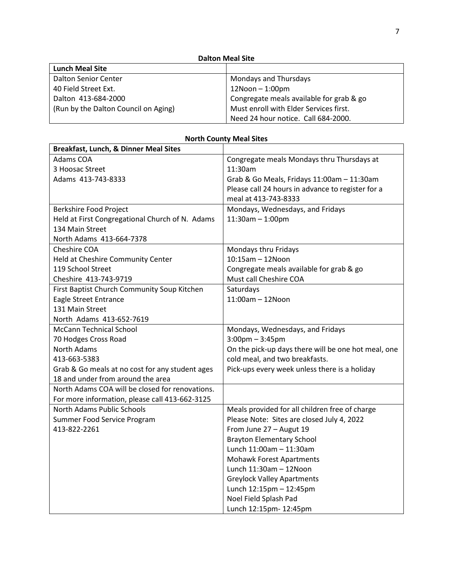| <b>Lunch Meal Site</b>               |                                          |
|--------------------------------------|------------------------------------------|
| <b>Dalton Senior Center</b>          | Mondays and Thursdays                    |
| 40 Field Street Ext.                 | $12N$ oon $-1:00$ pm                     |
| Dalton 413-684-2000                  | Congregate meals available for grab & go |
| (Run by the Dalton Council on Aging) | Must enroll with Elder Services first.   |
|                                      | Need 24 hour notice. Call 684-2000.      |

| Breakfast, Lunch, & Dinner Meal Sites           |                                                     |
|-------------------------------------------------|-----------------------------------------------------|
| Adams COA                                       | Congregate meals Mondays thru Thursdays at          |
| 3 Hoosac Street                                 | 11:30am                                             |
| Adams 413-743-8333                              | Grab & Go Meals, Fridays 11:00am - 11:30am          |
|                                                 | Please call 24 hours in advance to register for a   |
|                                                 | meal at 413-743-8333                                |
| Berkshire Food Project                          | Mondays, Wednesdays, and Fridays                    |
| Held at First Congregational Church of N. Adams | $11:30am - 1:00pm$                                  |
| 134 Main Street                                 |                                                     |
| North Adams 413-664-7378                        |                                                     |
| Cheshire COA                                    | Mondays thru Fridays                                |
| Held at Cheshire Community Center               | 10:15am - 12Noon                                    |
| 119 School Street                               | Congregate meals available for grab & go            |
| Cheshire 413-743-9719                           | Must call Cheshire COA                              |
| First Baptist Church Community Soup Kitchen     | Saturdays                                           |
| Eagle Street Entrance                           | $11:00$ am $-12$ Noon                               |
| 131 Main Street                                 |                                                     |
| North Adams 413-652-7619                        |                                                     |
| <b>McCann Technical School</b>                  | Mondays, Wednesdays, and Fridays                    |
| 70 Hodges Cross Road                            | $3:00$ pm $-3:45$ pm                                |
| <b>North Adams</b>                              | On the pick-up days there will be one hot meal, one |
| 413-663-5383                                    | cold meal, and two breakfasts.                      |
| Grab & Go meals at no cost for any student ages | Pick-ups every week unless there is a holiday       |
| 18 and under from around the area               |                                                     |
| North Adams COA will be closed for renovations. |                                                     |
| For more information, please call 413-662-3125  |                                                     |
| North Adams Public Schools                      | Meals provided for all children free of charge      |
| Summer Food Service Program                     | Please Note: Sites are closed July 4, 2022          |
| 413-822-2261                                    | From June 27 - Augut 19                             |
|                                                 | <b>Brayton Elementary School</b>                    |
|                                                 | Lunch 11:00am - 11:30am                             |
|                                                 | <b>Mohawk Forest Apartments</b>                     |
|                                                 | Lunch 11:30am - 12Noon                              |
|                                                 | <b>Greylock Valley Apartments</b>                   |
|                                                 | Lunch 12:15pm - 12:45pm                             |
|                                                 | Noel Field Splash Pad                               |
|                                                 | Lunch 12:15pm- 12:45pm                              |

## **North County Meal Sites**